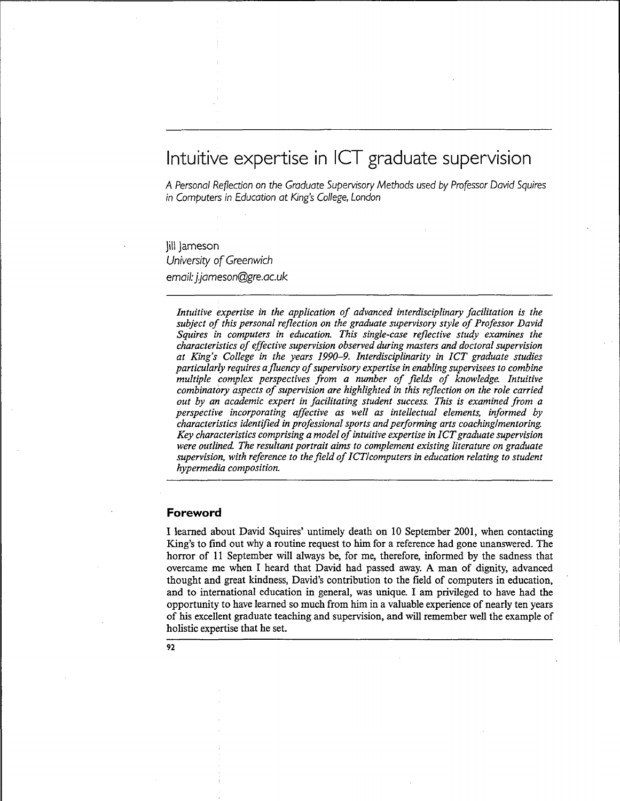# Intuitive expertise in ICT graduate supervision

A Personal Reflection on the Graduate Supervisory Methods used by Professor David Squires in Computers in Education at King's College, London

Jill Jameson University of Greenwich email: j.jameson@gre.ac.uk

*Intuitive expertise in the application of advanced interdisciplinary facilitation is the subject of this personal reflection on the graduate supervisory style of Professor David Squires in computers in education. This single-case reflective study examines the characteristics of effective supervision observed during masters and doctoral supervision at King's College in the years 1990-9. Interdisciplinarity in ICT graduate studies particularly requires a fluency of supervisory expertise in enabling supervisees to combine multiple complex perspectives from a number of fields of knowledge. Intuitive combinatory aspects of supervision are highlighted in this reflection on the role carried out by an academic expert in facilitating student success. This is examined from a perspective incorporating affective as well as intellectual elements, informed by characteristics identified in professional sports and performing arts coaching/mentoring. Key characteristics comprising a model of intuitive expertise in ICT graduate supervision were outlined. The resultant portrait aims to complement existing literature on graduate supervision, with reference to the field of ICTI computers in education relating to student hypermedia composition.*

#### **Foreword**

I learned about David Squires' untimely death on 10 September 2001, when contacting King's to find out why a routine request to him for a reference had gone unanswered. The horror of 11 September will always be, for me, therefore, informed by the sadness that overcame me when I heard that David had passed away. A man of dignity, advanced thought and great kindness, David's contribution to the field of computers in education, and to international education in general, was unique. I am privileged to have had the opportunity to have learned so much from him in a valuable experience of nearly ten years of his excellent graduate teaching and supervision, and will remember well the example of holistic expertise that he set.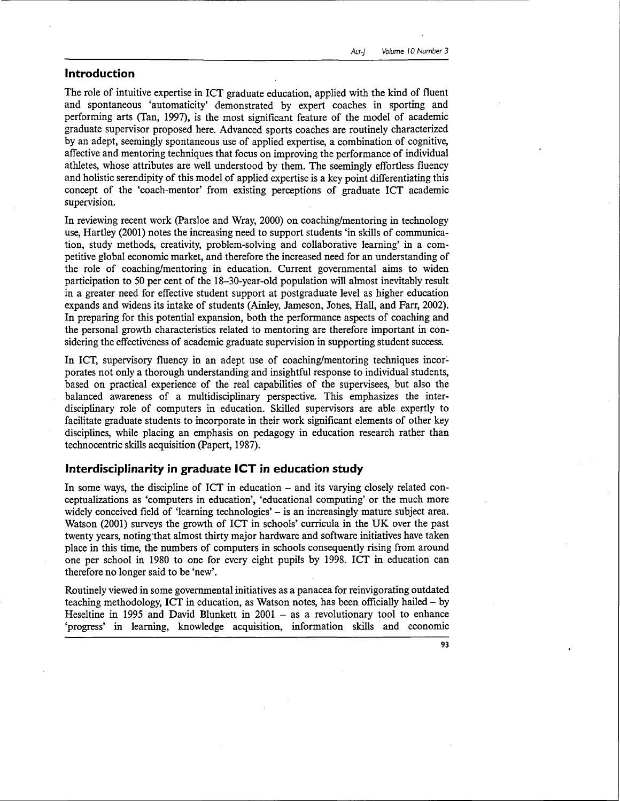#### **Introduction**

The role of intuitive expertise in ICT graduate education, applied with the kind of fluent and spontaneous 'automaticity' demonstrated by expert coaches in sporting and performing arts (Tan, 1997), is the most significant feature of the model of academic graduate supervisor proposed here. Advanced sports coaches are routinely characterized by an adept, seemingly spontaneous use of applied expertise, a combination of cognitive, affective and mentoring techniques that focus on improving the performance of individual athletes, whose attributes are well understood by them. The seemingly effortless fluency and holistic serendipity of this model of applied expertise is a key point differentiating this concept of the 'coach-mentor' from existing perceptions of graduate ICT academic supervision.

In reviewing recent work (Parsloe and Wray, 2000) on coaching/mentoring in technology use, Hartley (2001) notes the increasing need to support students 'in skills of communication, study methods, creativity, problem-solving and collaborative learning' in a competitive global economic market, and therefore the increased need for an understanding of the role of coaching/mentoring in education. Current governmental aims to widen participation to 50 per cent of the 18-30-year-old population will almost inevitably result in a greater need for effective student support at postgraduate level as higher education expands and widens its intake of students (Ainley, Jameson, Jones, Hall, and Farr, 2002). In preparing for this potential expansion, both the performance aspects of coaching and the personal growth characteristics related to mentoring are therefore important in considering the effectiveness of academic graduate supervision in supporting student success.

In ICT, supervisory fluency in an adept use of coaching/mentoring techniques incorporates not only a thorough understanding and insightful response to individual students, based on practical experience of the real capabilities of the supervisees, but also the balanced awareness of a multidisciplinary perspective. This emphasizes the interdisciplinary role of computers in education. Skilled supervisors are able expertly to facilitate graduate students to incorporate in their work significant elements of other key disciplines, while placing an emphasis on pedagogy in education research rather than technocentric skills acquisition (Papert, 1987).

#### **Interdisciplinarity in graduate ICT in education study**

In some ways, the discipline of ICT in education – and its varying closely related conceptualizations as 'computers in education', 'educational computing' or the much more widely conceived field of 'learning technologies' - is an increasingly mature subject area. Watson (2001) surveys the growth of ICT in schools' curricula in the UK over the past twenty years, noting that almost thirty major hardware and software initiatives have taken place in this time, the numbers of computers in schools consequently rising from around one per school in 1980 to one for every eight pupils by 1998. ICT in education can therefore no longer said to be 'new'.

Routinely viewed in some governmental initiatives as a panacea for reinvigorating outdated teaching methodology, ICT in education, as Watson notes, has been officially hailed  $-$  by Heseltine in 1995 and David Blunkett in  $2001 - as$  a revolutionary tool to enhance 'progress' in learning, knowledge acquisition, information skills and economic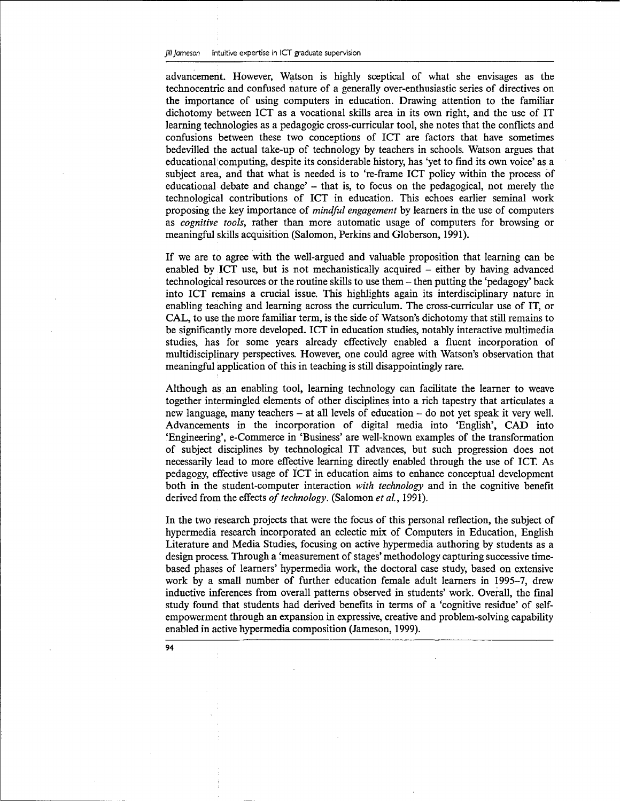advancement. However, Watson is highly sceptical of what she envisages as the technocentric and confused nature of a generally over-enthusiastic series of directives on the importance of using computers in education. Drawing attention to the familiar dichotomy between ICT as a vocational skills area in its own right, and the use of IT learning technologies as a pedagogic cross-curricular tool, she notes that the conflicts and confusions between these two conceptions of ICT are factors that have sometimes bedevilled the actual take-up of technology by teachers in schools. Watson argues that educational computing, despite its considerable history, has 'yet to find its own voice' as a subject area, and that what is needed is to 're-frame ICT policy within the process of educational debate and change' - that is, to focus on the pedagogical, not merely the technological contributions of ICT in education. This echoes earlier seminal work proposing the key importance of *mindful engagement* by learners in the use of computers as *cognitive tools,* rather than more automatic usage of computers for browsing or meaningful skills acquisition (Salomon, Perkins and Globerson, 1991).

If we are to agree with the well-argued and valuable proposition that learning can be enabled by ICT use, but is not mechanistically acquired – either by having advanced technological resources or the routine skills to use them - then putting the 'pedagogy' back into ICT remains a crucial issue. This highlights again its interdisciplinary nature in enabling teaching and learning across the curriculum. The cross-curricular use of IT, or CAL, to use the more familiar term, is the side of Watson's dichotomy that still remains to be significantly more developed. ICT in education studies, notably interactive multimedia studies, has for some years already effectively enabled a fluent incorporation of multidisciplinary perspectives. However, one could agree with Watson's observation that meaningful application of this in teaching is still disappointingly rare.

Although as an enabling tool, learning technology can facilitate the learner to weave together intermingled elements of other disciplines into a rich tapestry that articulates a new language, many teachers – at all levels of education – do not yet speak it very well. Advancements in the incorporation of digital media into 'English', CAD into 'Engineering', e-Commerce in 'Business' are well-known examples of the transformation of subject disciplines by technological IT advances, but such progression does not necessarily lead to more effective learning directly enabled through the use of ICT. As pedagogy, effective usage of ICT in education aims to enhance conceptual development both in the student-computer interaction *with technology* and in the cognitive benefit derived from the effects *of technology.* (Salomon *et al,* 1991).

In the two research projects that were the focus of this personal reflection, the subject of hypermedia research incorporated an eclectic mix of Computers in Education, English Literature and Media Studies, focusing on active hypermedia authoring by students as a design process. Through a 'measurement of stages' methodology capturing successive timebased phases of learners' hypermedia work, the doctoral case study, based on extensive work by a small number of further education female adult learners in 1995-7, drew inductive inferences from overall patterns observed in students' work. Overall, the final study found that students had derived benefits in terms of a 'cognitive residue' of selfempowerment through an expansion in expressive, creative and problem-solving capability enabled in active hypermedia composition (Jameson, 1999).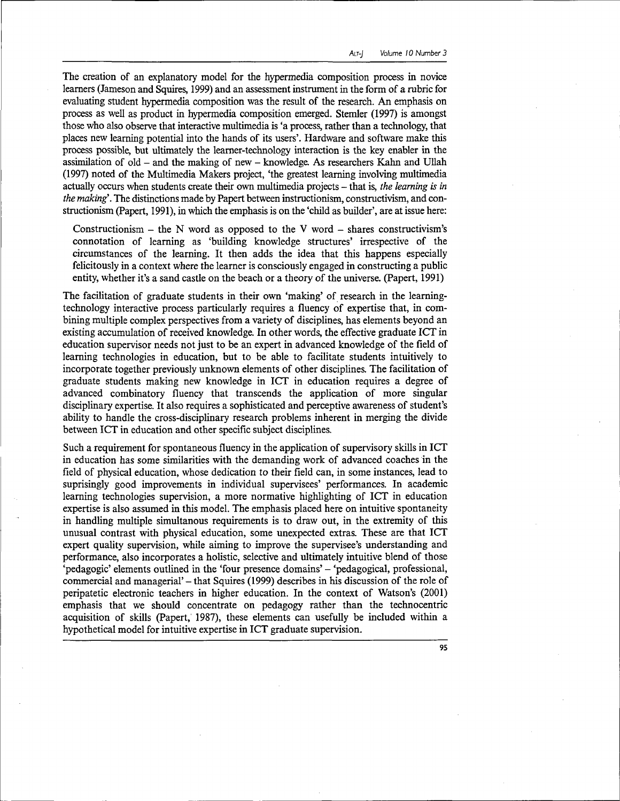The creation of an explanatory model for the hypermedia composition process in novice learners (Jameson and Squires, 1999) and an assessment instrument in the form of a rubric for evaluating student hypermedia composition was the result of the research. An emphasis on process as well as product in hypermedia composition emerged. Stemler (1997) is amongst those who also observe that interactive multimedia is 'a process, rather than a technology, that places new learning potential into the hands of its users'. Hardware and software make this process possible, but ultimately the learner-technology interaction is the key enabler in the assimilation of old  $-$  and the making of new  $-$  knowledge. As researchers Kahn and Ullah (1997) noted of the Multimedia Makers project, 'the greatest learning involving multimedia actually occurs when students create their own multimedia projects – that is, *the learning is in the making'.* The distinctions made by Papert between instructionism, constructivism, and constructionism (Papert, 1991), in which the emphasis is on the 'child as builder', are at issue here:

Constructionism – the N word as opposed to the V word – shares constructivism's connotation of learning as 'building knowledge structures' irrespective of the circumstances of the learning. It then adds the idea that this happens especially felicitously in a context where the learner is consciously engaged in constructing a public entity, whether it's a sand castle on the beach or a theory of the universe. (Papert, 1991)

The facilitation of graduate students in their own 'making' of research in the learningtechnology interactive process particularly requires a fluency of expertise that, in combining multiple complex perspectives from a variety of disciplines, has elements beyond an existing accumulation of received knowledge. In other words, the effective graduate ICT in education supervisor needs not just to be an expert in advanced knowledge of the field of learning technologies in education, but to be able to facilitate students intuitively to incorporate together previously unknown elements of other disciplines. The facilitation of graduate students making new knowledge in ICT in education requires a degree of advanced combinatory fluency that transcends the application of more singular disciplinary expertise. It also requires a sophisticated and perceptive awareness of student's ability to handle the cross-disciplinary research problems inherent in merging the divide between ICT in education and other specific subject disciplines.

Such a requirement for spontaneous fluency in the application of supervisory skills in ICT in education has some similarities with the demanding work of advanced coaches in the field of physical education, whose dedication to their field can, in some instances, lead to suprisingly good improvements in individual supervisees' performances. In academic learning technologies supervision, a more normative highlighting of ICT in education expertise is also assumed in this model. The emphasis placed here on intuitive spontaneity in handling multiple simultanous requirements is to draw out, in the extremity of this unusual contrast with physical education, some unexpected extras. These are that ICT expert quality supervision, while aiming to improve the supervisee's understanding and performance, also incorporates a holistic, selective and ultimately intuitive blend of those 'pedagogic' elements outlined in the 'four presence domains' - 'pedagogical, professional, commercial and managerial' - that Squires (1999) describes in his discussion of the role of peripatetic electronic teachers in higher education. In the context of Watson's (2001) emphasis that we should concentrate on pedagogy rather than the technocentric acquisition of skills (Papert, 1987), these elements can usefully be included within a hypothetical model for intuitive expertise in ICT graduate supervision.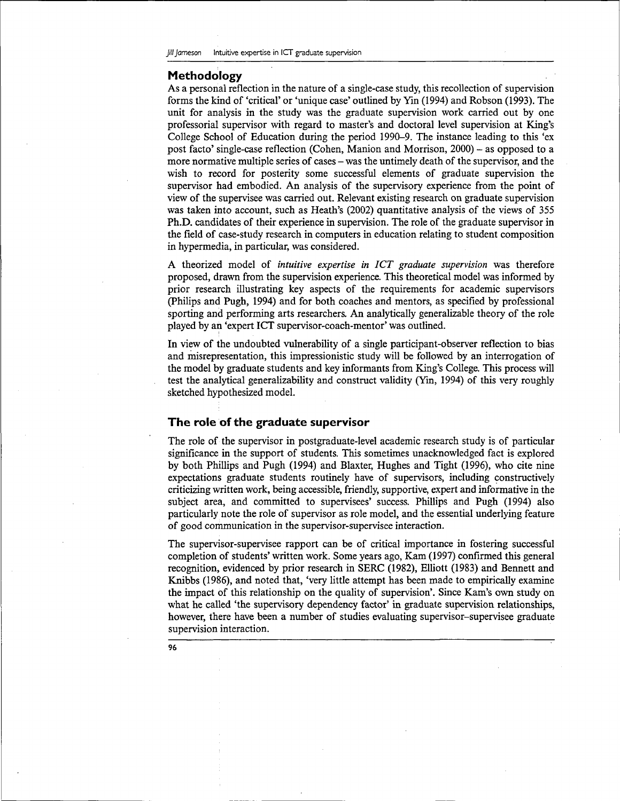#### **Methodology**

As a personal reflection in the nature of a single-case study, this recollection of supervision forms the kind of 'critical' or 'unique case' outlined by Yin (1994) and Robson (1993). The unit for analysis in the study was the graduate supervision work carried out by one professorial supervisor with regard to master's and doctoral level supervision at King's College School of Education during the period 1990-9. The instance leading to this 'ex post facto' single-case reflection (Cohen, Manion and Morrison, 2000) - as opposed to a more normative multiple series of cases – was the untimely death of the supervisor, and the wish to record for posterity some successful elements of graduate supervision the supervisor had embodied. An analysis of the supervisory experience from the point of view of the supervisee was carried out. Relevant existing research on graduate supervision was taken into account, such as Heath's (2002) quantitative analysis of the views of 355 Ph.D. candidates of their experience in supervision. The role of the graduate supervisor in the field of case-study research in computers in education relating to student composition in hypermedia, in particular, was considered.

A theorized model of *intuitive expertise in ICT graduate supervision* was therefore proposed, drawn from the supervision experience. This theoretical model was informed by prior research illustrating key aspects of the requirements for academic supervisors (Philips and Pugh, 1994) and for both coaches and mentors, as specified by professional sporting and performing arts researchers. An analytically generalizable theory of the role played by an 'expert ICT supervisor-coach-mentor' was outlined.

In view of the undoubted vulnerability of a single participant-observer reflection to bias and misrepresentation, this impressionistic study will be followed by an interrogation of the model by graduate students and key informants from King's College. This process will test the analytical generalizability and construct validity (Yin, 1994) of this very roughly sketched hypothesized model.

#### **The role of the graduate supervisor**

The role of the supervisor in postgraduate-level academic research study is of particular significance in the support of students. This sometimes unacknowledged fact is explored by both Phillips and Pugh (1994) and Blaxter, Hughes and Tight (1996), who cite nine expectations graduate students routinely have of supervisors, including constructively criticizing written work, being accessible, friendly, supportive, expert and informative in the subject area, and committed to supervisees' success. Phillips and Pugh (1994) also particularly note the role of supervisor as role model, and the essential underlying feature of good communication in the supervisor-supervisee interaction.

The supervisor-supervisee rapport can be of critical importance in fostering successful completion of students' written work. Some years ago, Kam (1997) confirmed this general recognition, evidenced by prior research in SERC (1982), Elliott (1983) and Bennett and Knibbs (1986), and noted that, 'very little attempt has been made to empirically examine the impact of this relationship on the quality of supervision'. Since Kam's own study on what he called 'the supervisory dependency factor' in graduate supervision relationships, however, there have been a number of studies evaluating supervisor-supervisee graduate supervision interaction.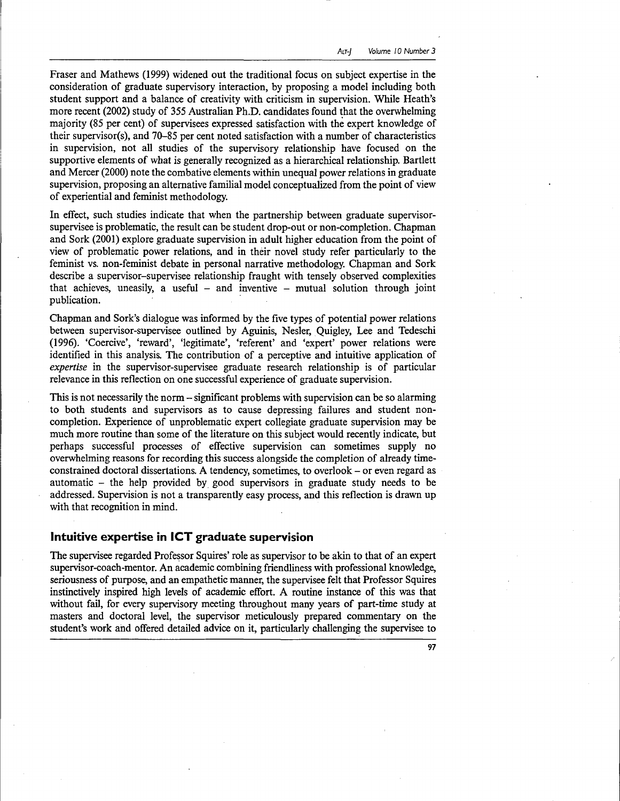Fraser and Mathews (1999) widened out the traditional focus on subject expertise in the consideration of graduate supervisory interaction, by proposing a model including both student support and a balance of creativity with criticism in supervision. While Heath's more recent (2002) study of 355 Australian Ph.D. candidates found that the overwhelming majority (85 per cent) of supervisees expressed satisfaction with the expert knowledge of their supervisor(s), and 70-85 per cent noted satisfaction with a number of characteristics in supervision, not all studies of the supervisory relationship have focused on the supportive elements of what is generally recognized as a hierarchical relationship. Bartlett and Mercer (2000) note the combative elements within unequal power relations in graduate supervision, proposing an alternative familial model conceptualized from the point of view of experiential and feminist methodology.

In effect, such studies indicate that when the partnership between graduate supervisorsupervisee is problematic, the result can be student drop-out or non-completion. Chapman and Sork (2001) explore graduate supervision in adult higher education from the point of view of problematic power relations, and in their novel study refer particularly to the feminist vs. non-feminist debate in personal narrative methodology. Chapman and Sork describe a supervisor-supervisee relationship fraught with tensely observed complexities that achieves, uneasily, a useful  $-$  and inventive  $-$  mutual solution through joint publication.

Chapman and Sork's dialogue was informed by the five types of potential power relations between supervisor-supervisee outlined by Aguinis, Nesler, Quigley, Lee and Tedeschi (1996). 'Coercive', 'reward', 'legitimate', 'referent' and 'expert' power relations were identified in this analysis. The contribution of a perceptive and intuitive application of *expertise* in the supervisor-supervisee graduate research relationship is of particular relevance in this reflection on one successful experience of graduate supervision.

This is not necessarily the norm - significant problems with supervision can be so alarming to both students and supervisors as to cause depressing failures and student noncompletion. Experience of unproblematic expert collegiate graduate supervision may be much more routine than some of the literature on this subject would recently indicate, but perhaps successful processes of effective supervision can sometimes supply no overwhelming reasons for recording this success alongside the completion of already timeconstrained doctoral dissertations. A tendency, sometimes, to overlook - or even regard as automatic - the help provided by good supervisors in graduate study needs to be addressed. Supervision is not a transparently easy process, and this reflection is drawn up with that recognition in mind.

## **Intuitive expertise in ICT graduate supervision**

The supervisee regarded Professor Squires' role as supervisor to be akin to that of an expert supervisor-coach-mentor. An academic combining friendliness with professional knowledge, seriousness of purpose, and an empathetic manner, the supervisee felt that Professor Squires instinctively inspired high levels of academic effort. A routine instance of this was that without fail, for every supervisory meeting throughout many years of part-time study at masters and doctoral level, the supervisor meticulously prepared commentary on the student's work and offered detailed advice on it, particularly challenging the supervisee to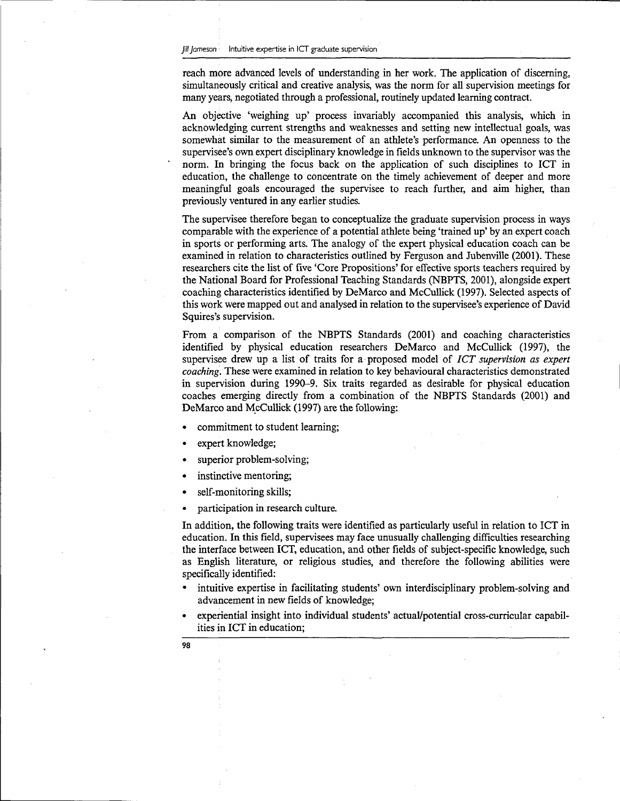reach more advanced levels of understanding in her work. The application of discerning, simultaneously critical and creative analysis, was the norm for all supervision meetings for many years, negotiated through a professional, routinely updated learning contract.

An objective 'weighing up' process invariably accompanied this analysis, which in acknowledging current strengths and weaknesses and setting new intellectual goals, was somewhat similar to the measurement of an athlete's performance. An openness to the supervisee's own expert disciplinary knowledge in fields unknown to the supervisor was the norm. In bringing the focus back on the application of such disciplines to ICT in education, the challenge to concentrate on the timely achievement of deeper and more meaningful goals encouraged the supervisee to reach further, and aim higher, than previously ventured in any earlier studies.

The supervisee therefore began to conceptualize the graduate supervision process in ways comparable with the experience of a potential athlete being 'trained up' by an expert coach in sports or performing arts. The analogy of the expert physical education coach can be examined in relation to characteristics outlined by Ferguson and Jubenville (2001). These researchers cite the list of five 'Core Propositions' for effective sports teachers required by the National Board for Professional Teaching Standards (NBPTS, 2001), alongside expert coaching characteristics identified by DeMarco and McCullick (1997). Selected aspects of this work were mapped out and analysed in relation to the supervisee's experience of David Squires's supervision.

From a comparison of the NBPTS Standards (2001) and coaching characteristics identified by physical education researchers DeMarco and McCullick (1997), the supervisee drew up a list of traits for a proposed model of *ICT supervision as expert coaching.* These were examined in relation to key behavioural characteristics demonstrated in supervision during 1990-9. Six traits regarded as desirable for physical education coaches emerging directly from a combination of the NBPTS Standards (2001) and DeMarco and McCullick (1997) are the following:

- commitment to student learning;
- expert knowledge;
- superior problem-solving;
- instinctive mentoring;
- self-monitoring skills;
- participation in research culture.

In addition, the following traits were identified as particularly useful in relation to ICT in education. In this field, supervisees may face unusually challenging difficulties researching the interface between ICT, education, and other fields of subject-specific knowledge, such as English literature, or religious studies, and therefore the following abilities were specifically identified:

- intuitive expertise in facilitating students' own interdisciplinary problem-solving and advancement in new fields of knowledge;
- experiential insight into individual students' actual/potential cross-curricular capabilities in ICT in education;
- 98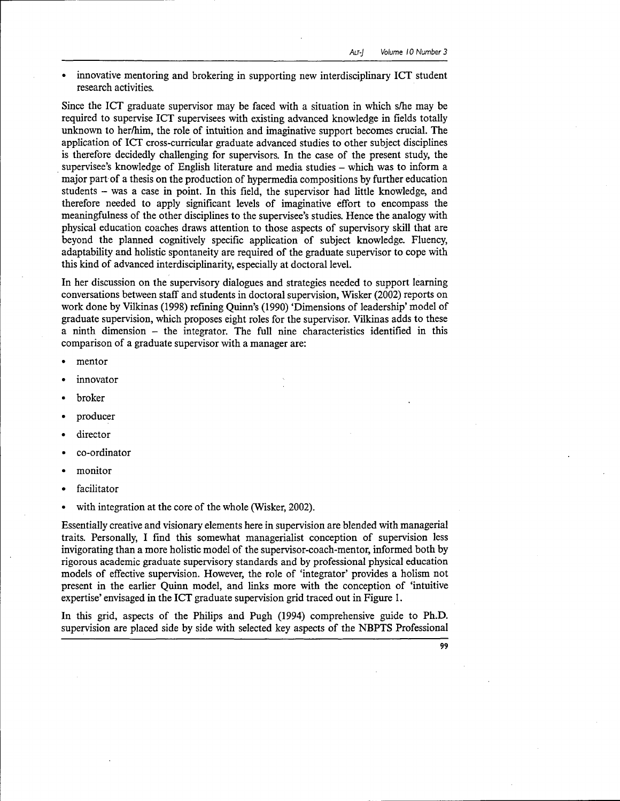• innovative mentoring and brokering in supporting new interdisciplinary ICT student research activities.

Since the ICT graduate supervisor may be faced with a situation in which s/he may be required to supervise ICT supervisees with existing advanced knowledge in fields totally unknown to her/him, the role of intuition and imaginative support becomes crucial. The application of ICT cross-curricular graduate advanced studies to other subject disciplines is therefore decidedly challenging for supervisors. In the case of the present study, the supervisee's knowledge of English literature and media studies - which was to inform a major part of a thesis on the production of hypermedia compositions by further education students - was a case in point. In this field, the supervisor had little knowledge, and therefore needed to apply significant levels of imaginative effort to encompass the meaningfulness of the other disciplines to the supervisee's studies. Hence the analogy with physical education coaches draws attention to those aspects of supervisory skill that are beyond the planned cognitively specific application of subject knowledge. Fluency, adaptability and holistic spontaneity are required of the graduate supervisor to cope with this kind of advanced interdisciplinarity, especially at doctoral level.

In her discussion on the supervisory dialogues and strategies needed to support learning conversations between staff and students in doctoral supervision, Wisker (2002) reports on work done by Vilkinas (1998) refining Quinn's (1990) 'Dimensions of leadership' model of graduate supervision, which proposes eight roles for the supervisor. Vilkinas adds to these a ninth dimension - the integrator. The full nine characteristics identified in this comparison of a graduate supervisor with a manager are:

- mentor
- innovator
- broker
- producer
- director
- co-ordinator
- monitor
- **facilitator**
- with integration at the core of the whole (Wisker, 2002).

Essentially creative and visionary elements here in supervision are blended with managerial traits. Personally, I find this somewhat managerialist conception of supervision less invigorating than a more holistic model of the supervisor-coach-mentor, informed both by rigorous academic graduate supervisory standards and by professional physical education models of effective supervision. However, the role of 'integrator' provides a holism not present in the earlier Quinn model, and links more with the conception of 'intuitive expertise' envisaged in the ICT graduate supervision grid traced out in Figure 1.

In this grid, aspects of the Philips and Pugh (1994) comprehensive guide to Ph.D. supervision are placed side by side with selected key aspects of the NBPTS Professional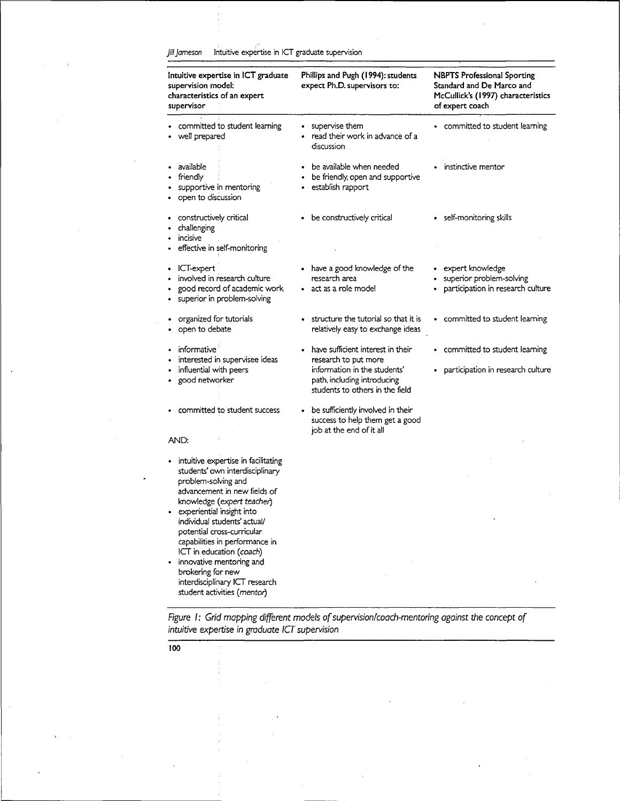Jill Jameson Intuitive expertise in ICT graduate supervision

| Intuitive expertise in ICT graduate<br>supervision model:<br>characteristics of an expert<br>supervisor                                                                                                                                                | Phillips and Pugh (1994): students<br>expect Ph.D. supervisors to:                                                                                          | <b>NBPTS Professional Sporting</b><br>Standard and De Marco and<br>McCullick's (1997) characteristics<br>of expert coach |
|--------------------------------------------------------------------------------------------------------------------------------------------------------------------------------------------------------------------------------------------------------|-------------------------------------------------------------------------------------------------------------------------------------------------------------|--------------------------------------------------------------------------------------------------------------------------|
| committed to student learning<br>well prepared                                                                                                                                                                                                         | supervise them<br>read their work in advance of a<br>discussion                                                                                             | committed to student learning                                                                                            |
| available<br>friendly<br>supportive in mentoring<br>open to discussion                                                                                                                                                                                 | be available when needed<br>be friendly, open and supportive<br>establish rapport                                                                           | instinctive mentor                                                                                                       |
| constructively critical<br>challenging<br>incisive                                                                                                                                                                                                     | • be constructively critical                                                                                                                                | self-monitoring skills<br>٠                                                                                              |
| effective in self-monitoring                                                                                                                                                                                                                           |                                                                                                                                                             |                                                                                                                          |
| ICT-expert<br>٠<br>involved in research culture<br>good record of academic work<br>superior in problem-solving<br>٠                                                                                                                                    | • have a good knowledge of the<br>research area<br>act as a role model                                                                                      | expert knowledge<br>superior problem-solving<br>participation in research culture                                        |
| organized for tutorials<br>open to debate                                                                                                                                                                                                              | structure the tutorial so that it is<br>relatively easy to exchange ideas                                                                                   | • committed to student learning                                                                                          |
| informative<br>interested in supervisee ideas<br>influential with peers<br>good networker                                                                                                                                                              | have sufficient interest in their<br>research to put more<br>information in the students'<br>path, including introducing<br>students to others in the field | committed to student learning<br>٠<br>participation in research culture                                                  |
| committed to student success                                                                                                                                                                                                                           | be sufficiently involved in their<br>success to help them get a good<br>job at the end of it all                                                            |                                                                                                                          |
| AND:                                                                                                                                                                                                                                                   |                                                                                                                                                             |                                                                                                                          |
| intuitive expertise in facilitating<br>students' own interdisciplinary<br>problem-solving and<br>advancement in new fields of<br>knowledge (expert teacher)<br>experiential insight into<br>individual students' actual/<br>potential cross-curricular |                                                                                                                                                             |                                                                                                                          |
| capabilities in performance in<br>ICT in education (coach)<br>innovative mentoring and<br>brokering for new<br>interdisciplinary ICT research<br>student activities (mentor)                                                                           |                                                                                                                                                             |                                                                                                                          |

Figure I: Grid mapping different models of supervision/coach-mentoring against the concept of intuitive expertise in graduate ICT supervision

 $\frac{1}{100}$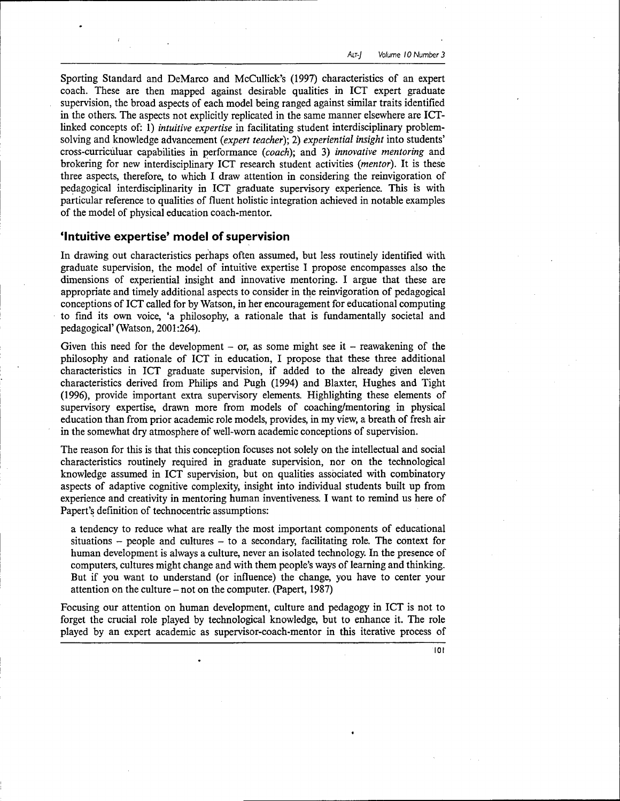Sporting Standard and DeMarco and McCullick's (1997) characteristics of an expert coach. These are then mapped against desirable qualities in ICT expert graduate supervision, the broad aspects of each model being ranged against similar traits identified in the others. The aspects not explicitly replicated in the same manner elsewhere are ICTlinked concepts of: 1) *intuitive expertise* in facilitating student interdisciplinary problemsolving and knowledge advancement *(expert teacher);* 2) *experiential insight* into students' cross-curriculuar capabilities in performance *(coach);* and 3) *innovative mentoring* and brokering for new interdisciplinary ICT research student activities *(mentor).* It is these three aspects, therefore, to which I draw attention in considering the reinvigoration of pedagogical interdisciplinarity in ICT graduate supervisory experience. This is with particular reference to qualities of fluent holistic integration achieved in notable examples of the model of physical education coach-mentor.

## 'Intuitive expertise' model of supervision

In drawing out characteristics perhaps often assumed, but less routinely identified with graduate supervision, the model of intuitive expertise I propose encompasses also the dimensions of experiential insight and innovative mentoring. I argue that these are appropriate and timely additional aspects to consider in the reinvigoration of pedagogical conceptions of ICT called for by Watson, in her encouragement for educational computing to find its own voice, 'a philosophy, a rationale that is fundamentally societal and pedagogical' (Watson, 2001:264).

Given this need for the development  $-$  or, as some might see it  $-$  reawakening of the philosophy and rationale of ICT in education, I propose that these three additional characteristics in ICT graduate supervision, if added to the already given eleven characteristics derived from Philips and Pugh (1994) and Blaxter, Hughes and Tight (1996), provide important extra supervisory elements. Highlighting these elements of supervisory expertise, drawn more from models of coaching/mentoring in physical education than from prior academic role models, provides, in my view, a breath of fresh air in the somewhat dry atmosphere of well-worn academic conceptions of supervision.

The reason for this is that this conception focuses not solely on the intellectual and social characteristics routinely required in graduate supervision, nor on the technological knowledge assumed in ICT supervision, but on qualities associated with combinatory aspects of adaptive cognitive complexity, insight into individual students built up from experience and creativity in mentoring human inventiveness. I want to remind us here of Papert's definition of technocentric assumptions:

a tendency to reduce what are really the most important components of educational  $situations - people and cultures - to a secondary, facilitating role. The context for$ human development is always a culture, never an isolated technology. In the presence of computers, cultures might change and with them people's ways of learning and thinking. But if you want to understand (or influence) the change, you have to center your attention on the culture - not on the computer. (Papert, 1987)

Focusing our attention on human development, culture and pedagogy in ICT is not to forget the crucial role played by technological knowledge, but to enhance it. The role played by an expert academic as supervisor-coach-mentor in this iterative process of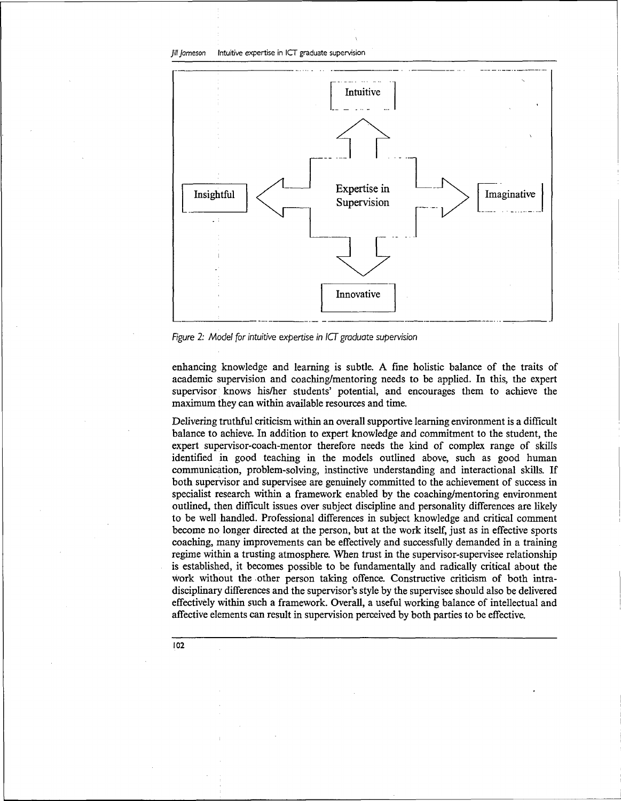Jill Jameson Intuitive expertise in ICT graduate supervision



Figure 2: Model for intuitive expertise in  $\overline{I}$  graduate supervision

enhancing knowledge and learning is subtle. A fine holistic balance of the traits of academic supervision and coaching/mentoring needs to be applied. In this, the expert supervisor knows his/her students' potential, and encourages them to achieve the maximum they can within available resources and time.

Delivering truthful criticism within an overall supportive learning environment is a difficult balance to achieve. In addition to expert knowledge and commitment to the student, the expert supervisor-coach-mentor therefore needs the kind of complex range of skills identified in good teaching in the models outlined above, such as good human communication, problem-solving, instinctive understanding and interactional skills. If both supervisor and supervisee are genuinely committed to the achievement of success in specialist research within a framework enabled by the coaching/mentoring environment outlined, then difficult issues over subject discipline and personality differences are likely to be well handled. Professional differences in subject knowledge and critical comment become no longer directed at the person, but at the work itself, just as in effective sports coaching, many improvements can be effectively and successfully demanded in a training regime within a trusting atmosphere. When trust in the supervisor-supervisee relationship is established, it becomes possible to be fundamentally and radically critical about the work without the other person taking offence. Constructive criticism of both intradisciplinary differences and the supervisor's style by the supervisee should also be delivered effectively within such a framework. Overall, a useful working balance of intellectual and affective elements can result in supervision perceived by both parties to be effective.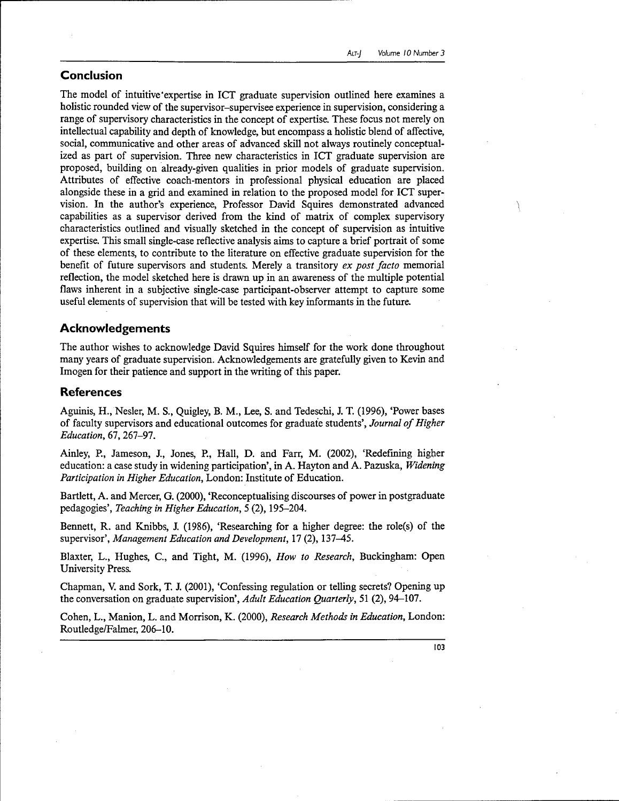## **Conclusion**

The model of intuitive'expertise in ICT graduate supervision outlined here examines a holistic rounded view of the supervisor-supervisee experience in supervision, considering a range of supervisory characteristics in the concept of expertise. These focus not merely on intellectual capability and depth of knowledge, but encompass a holistic blend of affective, social, communicative and other areas of advanced skill not always routinely conceptualized as part of supervision. Three new characteristics in ICT graduate supervision are proposed, building on already-given qualities in prior models of graduate supervision. Attributes of effective coach-mentors in professional physical education are placed alongside these in a grid and examined in relation to the proposed model for ICT supervision. In the author's experience, Professor David Squires demonstrated advanced capabilities as a supervisor derived from the kind of matrix of complex supervisory characteristics outlined and visually sketched in the concept of supervision as intuitive expertise. This small single-case reflective analysis aims to capture a brief portrait of some of these elements, to contribute to the literature on effective graduate supervision for the benefit of future supervisors and students. Merely a transitory *ex post facto* memorial reflection, the model sketched here is drawn up in an awareness of the multiple potential flaws inherent in a subjective single-case participant-observer attempt to capture some useful elements of supervision that will be tested with key informants in the future.

## **Acknowledgements**

The author wishes to acknowledge David Squires himself for the work done throughout many years of graduate supervision. Acknowledgements are gratefully given to Kevin and Imogen for their patience and support in the writing of this paper.

## **References**

Aguinis, H., Nesler, M. S., Quigley, B. M., Lee, S. and Tedeschi, J. T. (1996), 'Power bases of faculty supervisors and educational outcomes for graduate students', *Journal of Higher Education,* 67, 267-97.

Ainley, P., Jameson, J., Jones, P., Hall, D. and Farr, M. (2002), 'Redefining higher education: a case study in widening participation', in A. Hayton and A. Pazuska, *Widening Participation in Higher Education,* London: Institute of Education.

Bartlett, A. and Mercer, G. (2000), 'Reconceptualising discourses of power in postgraduate pedagogies', *Teaching in Higher Education,* 5 (2), 195-204.

Bennett, R. and Knibbs, J. (1986), 'Researching for a higher degree: the role(s) of the supervisor', *Management Education and Development,* 17 (2), 137-45.

Blaxter, L., Hughes, C., and Tight, M. (1996), *How to Research,* Buckingham: Open University Press.

Chapman, V. and Sork, T. J. (2001), 'Confessing regulation or telling secrets? Opening up the conversation on graduate supervision', *Adult Education Quarterly,* 51 (2), 94-107.

Cohen, L., Manion, L. and Morrison, K. (2000), *Research Methods in Education,* London: Routledge/Falmer, 206-10.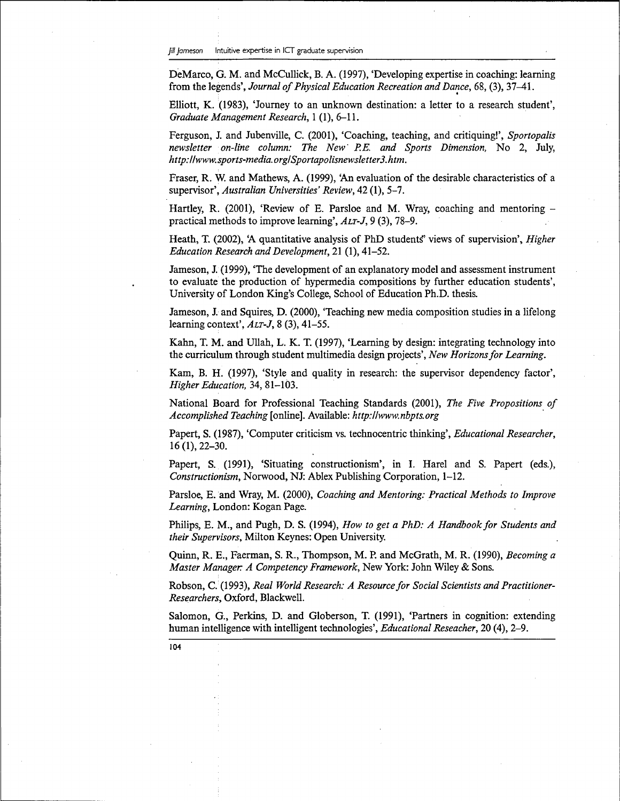DeMarco, G. M. and McCullick, B. A. (1997), 'Developing expertise in coaching: learning from the legends', *Journal of Physical Education Recreation and Dance,* 68, (3), 37-41.

Elliott, K. (1983), 'Journey to an unknown destination: a letter to a research student', *Graduate Management Research,* 1 (1), 6-11.

Ferguson, J. and Jubenville, C. (2001), 'Coaching, teaching, and critiquing!', *Sportopalis newsletter on-line column: The New' P.E. and Sports Dimension,* No 2, July, *http://www.sports-media.org/Sportapolisnewsletter3.htm.*

Fraser, R. W. and Mathews, A. (1999), 'An evaluation of the desirable characteristics of a supervisor', *Australian Universities' Review,* 42 (1), 5-7.

Hartley, R. (2001), 'Review of E. Parsloe and M. Wray, coaching and mentoring  $$ practical methods to improve learning', *ALT-J,* 9 (3), 78-9.

Heath, T. (2002), 'A quantitative analysis of PhD students' views of supervision', *Higher Education Research and Development,* 21 (1), 41-52.

Jameson, J. (1999), 'The development of an explanatory model and assessment instrument to evaluate the production of hypermedia compositions by further education students', University of London King's College, School of Education Ph.D. thesis.

Jameson, J. and Squires, D. (2000), 'Teaching new media composition studies in a lifelong learning context', *ALT-J,* 8 (3), 41-55.

Kahn, T. M. and Ullah, L. K. T. (1997), 'Learning by design: integrating technology into the curriculum through student multimedia design projects', *New Horizons for Learning.*

Kam, B. H. (1997), 'Style and quality in research: the supervisor dependency factor', *Higher Education,* 34, 81-103.

National Board for Professional Teaching Standards (2001), *The Five Propositions of Accomplished Teaching* [online]. Available: *http://www.nbpts.org*

Papert, S. (1987), 'Computer criticism vs. technocentric thinking', *Educational Researcher,* 16 (1), 22-30.

Papert, S. (1991), 'Situating constructionism', in I. Harel and S. Papert (eds.), *Constructionism,* Norwood, NJ: Ablex Publishing Corporation, 1-12.

Parsloe, E. and Wray, M. (2000), *Coaching and Mentoring: Practical Methods to Improve Learning,* London: Kogan Page.

Philips, E. M., and Pugh, D. S. (1994), *How to get a PhD: A Handbook for Students and their Supervisors,* Milton Keynes: Open University.

Quinn, R. E., Faerman, S. R., Thompson, M. P. and McGrath, M. R. (1990), *Becoming a Master Manager. A Competency Framework,* New York: John Wiley & Sons.

Robson, C. (1993), *Real World Research: A Resource for Social Scientists and Practitioner-Researchers,* Oxford, Blackwell.

Salomon, G., Perkins, D. and Globerson, T. (1991), 'Partners in cognition: extending human intelligence with intelligent technologies', *Educational Reseacher,* 20 (4), 2-9.